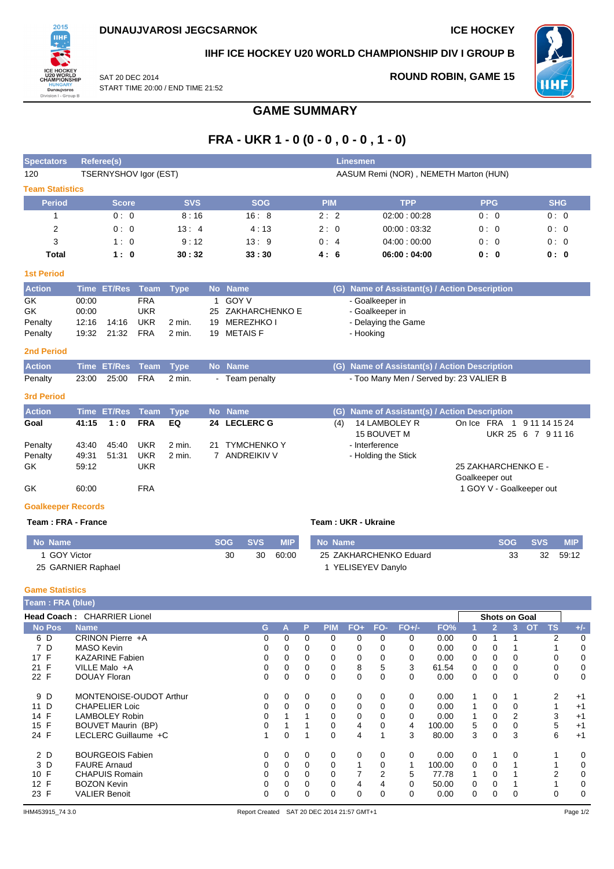

# **IIHF ICE HOCKEY U20 WORLD CHAMPIONSHIP DIV I GROUP B**

SAT 20 DEC 2014 START TIME 20:00 / END TIME 21:52 **ROUND ROBIN, GAME 15**



# **Period Score SVS SOG PIM TPP PPG SHG** 1 0 : 0 8 : 16 16 : 8 2 : 2 02:00 : 00:28 0 : 0 0 : 0

**Spectators Referee(s) Linesmen**

| ٠<br>____ | the contract of the contract of | ___ |
|-----------|---------------------------------|-----|
|           |                                 |     |

**Team Statistics**

| <b>Action</b> |       | Time ET/Res Team Type |            |        | No Name           | (G) Name of Assistant(s) / Action Description |
|---------------|-------|-----------------------|------------|--------|-------------------|-----------------------------------------------|
| GK            | 00:00 |                       | FRA        |        | GOY V             | - Goalkeeper in                               |
| GK            | 00:00 |                       | UKR        |        | 25 ZAKHARCHENKO E | - Goalkeeper in                               |
| Penalty       | 12:16 | 14:16                 | <b>UKR</b> | 2 min. | 19 MEREZHKO I     | - Delaying the Game                           |
| Penalty       | 19:32 | 21:32                 | FRA        | 2 min. | 19 METAIS F       | - Hooking                                     |

2 0 : 0 13 : 4 4 : 13 2 : 0 00:00 : 03:32 0 : 0 0 : 0 3 1 : 0 9 : 12 13 : 9 0 : 4 04:00 : 00:00 0 : 0 0 : 0 **Total 1: 0 30:32 33:30 4: 6 06:00:04:00 0: 0 0: 0** 

**GAME SUMMARY**

**FRA - UKR 1 - 0 (0 - 0 , 0 - 0 , 1 - 0)**

120 TSERNYSHOV Igor (EST) AASUM Remi (NOR) , NEMETH Marton (HUN)

#### **2nd Period**

| <b>Action</b> |                            | Time ET/Res Team Type No Name |              | (G) Name of Assistant(s) / Action Description |
|---------------|----------------------------|-------------------------------|--------------|-----------------------------------------------|
| Penalty       | 23:00  25:00  FRA  2  min. |                               | Team penalty | - Too Many Men / Served by: 23 VALIER B       |

### **3rd Period**

| <b>Action</b> |       | Time ET/Res Team Type |            |        |    | No Name            |     | (G) Name of Assistant(s) / Action Description |                |                                                  |
|---------------|-------|-----------------------|------------|--------|----|--------------------|-----|-----------------------------------------------|----------------|--------------------------------------------------|
| Goal          | 41:15 | 1:0                   | <b>FRA</b> | EQ     |    | 24 LECLERC G       | (4) | 14 LAMBOLEY R<br>15 BOUVET M                  |                | On Ice FRA 1 9 11 14 15 24<br>UKR 25 6 7 9 11 16 |
| Penalty       | 43:40 | 45:40                 | <b>UKR</b> | 2 min. | 21 | <b>TYMCHENKO Y</b> |     | - Interference                                |                |                                                  |
| Penalty       | 49:31 | 51:31                 | <b>UKR</b> | 2 min. |    | ANDREIKIV V        |     | - Holding the Stick                           |                |                                                  |
| GK            | 59:12 |                       | UKR        |        |    |                    |     |                                               |                | 25 ZAKHARCHENKO E -                              |
| GK            | 60:00 |                       | <b>FRA</b> |        |    |                    |     |                                               | Goalkeeper out | 1 GOY V - Goalkeeper out                         |

# **Goalkeeper Records**

#### **Team : FRA - France Team : UKR - Ukraine**

| No Name            | <b>SOG</b> | <b>SVS</b> | <b>MIP</b> | No Name                | <b>SOG</b> | <b>SVS</b> | <b>MIP</b> |
|--------------------|------------|------------|------------|------------------------|------------|------------|------------|
| 1 GOY Victor       | 30         | 30         | 60:00      | 25 ZAKHARCHENKO Eduard |            | 32         | 59:12      |
| 25 GARNIER Raphael |            |            |            | YELISEYEV Danylo       |            |            |            |

#### **Game Statistics**

| Team: FRA (blue) |                             |   |   |          |            |          |          |         |        |          |                |                      |           |           |       |
|------------------|-----------------------------|---|---|----------|------------|----------|----------|---------|--------|----------|----------------|----------------------|-----------|-----------|-------|
|                  | Head Coach: CHARRIER Lionel |   |   |          |            |          |          |         |        |          |                | <b>Shots on Goal</b> |           |           |       |
| <b>No Pos</b>    | <b>Name</b>                 | G | A | P        | <b>PIM</b> | $FO+$    | FO-      | $FO+/-$ | FO%    |          | $\overline{2}$ | 3.                   | <b>OT</b> | <b>TS</b> | $+/-$ |
| 6 D              | CRINON Pierre +A            |   | 0 | $\Omega$ | $\Omega$   | $\Omega$ | $\Omega$ | 0       | 0.00   | $\Omega$ |                |                      |           | 2         | 0     |
| 7 D              | MASO Kevin                  |   | 0 | 0        | 0          | 0        | 0        | 0       | 0.00   | 0        | 0              |                      |           |           | 0     |
| 17 F             | <b>KAZARINE Fabien</b>      |   | 0 | 0        | 0          | 0        |          | 0       | 0.00   | 0        | 0              |                      |           | 0         | 0     |
| 21 F             | VILLE Malo +A               | 0 | 0 | $\Omega$ | 0          | 8        | 5        | 3       | 61.54  | 0        | 0              |                      |           | 0         | 0     |
| 22 F             | <b>DOUAY Floran</b>         | 0 | 0 | 0        | 0          | 0        | $\Omega$ | 0       | 0.00   | 0        | 0              | $\Omega$             |           | 0         | 0     |
| 9 D              | MONTENOISE-OUDOT Arthur     | 0 | 0 | 0        | 0          | 0        | 0        | 0       | 0.00   |          | 0              |                      |           | 2         | $+1$  |
| 11 D             | <b>CHAPELIER Loic</b>       |   |   | $\Omega$ | 0          | $\Omega$ |          | 0       | 0.00   |          | 0              |                      |           |           | $+1$  |
| 14 F             | <b>LAMBOLEY Robin</b>       |   |   |          | $\Omega$   | $\Omega$ | $\Omega$ | 0       | 0.00   |          | 0              | 2                    |           | 3         | $+1$  |
| 15 F             | <b>BOUVET Maurin (BP)</b>   |   |   |          | 0          | 4        | $\Omega$ | 4       | 100.00 | 5        | 0              |                      |           | 5         | $+1$  |
| 24 F             | LECLERC Guillaume +C        |   | 0 |          | 0          | 4        |          | 3       | 80.00  | 3        | 0              | 3                    |           | 6         | $+1$  |
| 2 D              | <b>BOURGEOIS Fabien</b>     | 0 | 0 | $\Omega$ | $\Omega$   | 0        | $\Omega$ | 0       | 0.00   | $\Omega$ |                | $\Omega$             |           |           | 0     |
| 3 D              | <b>FAURE Arnaud</b>         |   | 0 | $\Omega$ | $\Omega$   |          | $\Omega$ |         | 100.00 | $\Omega$ | 0              |                      |           |           | 0     |
| 10 F             | <b>CHAPUIS Romain</b>       |   | 0 | $\Omega$ | 0          |          | 2        | 5       | 77.78  |          | 0              |                      |           | 2         | 0     |
| 12 F             | <b>BOZON Kevin</b>          | 0 | 0 | $\Omega$ | 0          | 4        | 4        | 0       | 50.00  | 0        | 0              |                      |           |           | 0     |
| 23 F             | <b>VALIER Benoit</b>        | 0 | 0 | 0        | 0          | 0        | 0        | 0       | 0.00   | 0        | 0              |                      |           | 0         | 0     |